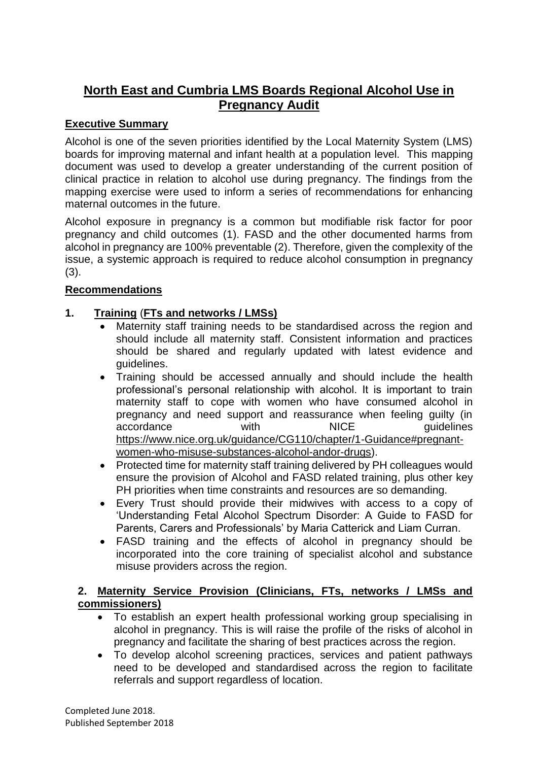# **North East and Cumbria LMS Boards Regional Alcohol Use in Pregnancy Audit**

#### **Executive Summary**

Alcohol is one of the seven priorities identified by the Local Maternity System (LMS) boards for improving maternal and infant health at a population level. This mapping document was used to develop a greater understanding of the current position of clinical practice in relation to alcohol use during pregnancy. The findings from the mapping exercise were used to inform a series of recommendations for enhancing maternal outcomes in the future.

Alcohol exposure in pregnancy is a common but modifiable risk factor for poor pregnancy and child outcomes (1). FASD and the other documented harms from alcohol in pregnancy are 100% preventable (2). Therefore, given the complexity of the issue, a systemic approach is required to reduce alcohol consumption in pregnancy (3).

#### **Recommendations**

## **1. Training** (**FTs and networks / LMSs)**

- Maternity staff training needs to be standardised across the region and should include all maternity staff. Consistent information and practices should be shared and regularly updated with latest evidence and guidelines.
- Training should be accessed annually and should include the health professional's personal relationship with alcohol. It is important to train maternity staff to cope with women who have consumed alcohol in pregnancy and need support and reassurance when feeling guilty (in accordance with NICE quidelines [https://www.nice.org.uk/guidance/CG110/chapter/1-Guidance#pregnant](https://www.nice.org.uk/guidance/CG110/chapter/1-Guidance#pregnant-women-who-misuse-substances-alcohol-andor-drugs)[women-who-misuse-substances-alcohol-andor-drugs\)](https://www.nice.org.uk/guidance/CG110/chapter/1-Guidance#pregnant-women-who-misuse-substances-alcohol-andor-drugs).
- Protected time for maternity staff training delivered by PH colleagues would ensure the provision of Alcohol and FASD related training, plus other key PH priorities when time constraints and resources are so demanding.
- Every Trust should provide their midwives with access to a copy of 'Understanding Fetal Alcohol Spectrum Disorder: A Guide to FASD for Parents, Carers and Professionals' by Maria Catterick and Liam Curran.
- FASD training and the effects of alcohol in pregnancy should be incorporated into the core training of specialist alcohol and substance misuse providers across the region.

## **2. Maternity Service Provision (Clinicians, FTs, networks / LMSs and commissioners)**

- To establish an expert health professional working group specialising in alcohol in pregnancy. This is will raise the profile of the risks of alcohol in pregnancy and facilitate the sharing of best practices across the region.
- To develop alcohol screening practices, services and patient pathways need to be developed and standardised across the region to facilitate referrals and support regardless of location.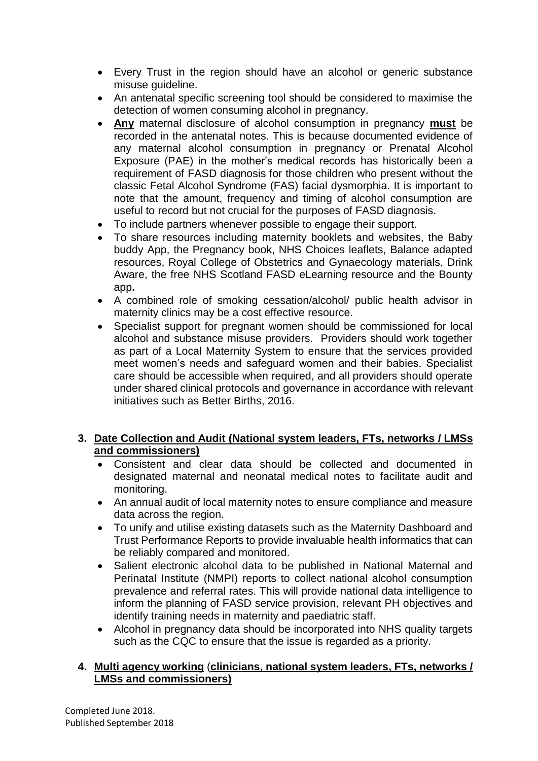- Every Trust in the region should have an alcohol or generic substance misuse guideline.
- An antenatal specific screening tool should be considered to maximise the detection of women consuming alcohol in pregnancy.
- **Any** maternal disclosure of alcohol consumption in pregnancy **must** be recorded in the antenatal notes. This is because documented evidence of any maternal alcohol consumption in pregnancy or Prenatal Alcohol Exposure (PAE) in the mother's medical records has historically been a requirement of FASD diagnosis for those children who present without the classic Fetal Alcohol Syndrome (FAS) facial dysmorphia. It is important to note that the amount, frequency and timing of alcohol consumption are useful to record but not crucial for the purposes of FASD diagnosis.
- To include partners whenever possible to engage their support.
- To share resources including maternity booklets and websites, the Baby buddy App, the Pregnancy book, NHS Choices leaflets, Balance adapted resources, Royal College of Obstetrics and Gynaecology materials, Drink Aware, the free NHS Scotland FASD eLearning resource and the Bounty app**.**
- A combined role of smoking cessation/alcohol/ public health advisor in maternity clinics may be a cost effective resource.
- Specialist support for pregnant women should be commissioned for local alcohol and substance misuse providers. Providers should work together as part of a Local Maternity System to ensure that the services provided meet women's needs and safeguard women and their babies. Specialist care should be accessible when required, and all providers should operate under shared clinical protocols and governance in accordance with relevant initiatives such as Better Births, 2016.

# **3. Date Collection and Audit (National system leaders, FTs, networks / LMSs and commissioners)**

- Consistent and clear data should be collected and documented in designated maternal and neonatal medical notes to facilitate audit and monitoring.
- An annual audit of local maternity notes to ensure compliance and measure data across the region.
- To unify and utilise existing datasets such as the Maternity Dashboard and Trust Performance Reports to provide invaluable health informatics that can be reliably compared and monitored.
- Salient electronic alcohol data to be published in National Maternal and Perinatal Institute (NMPI) reports to collect national alcohol consumption prevalence and referral rates. This will provide national data intelligence to inform the planning of FASD service provision, relevant PH objectives and identify training needs in maternity and paediatric staff.
- Alcohol in pregnancy data should be incorporated into NHS quality targets such as the CQC to ensure that the issue is regarded as a priority.

#### **4. Multi agency working** (**clinicians, national system leaders, FTs, networks / LMSs and commissioners)**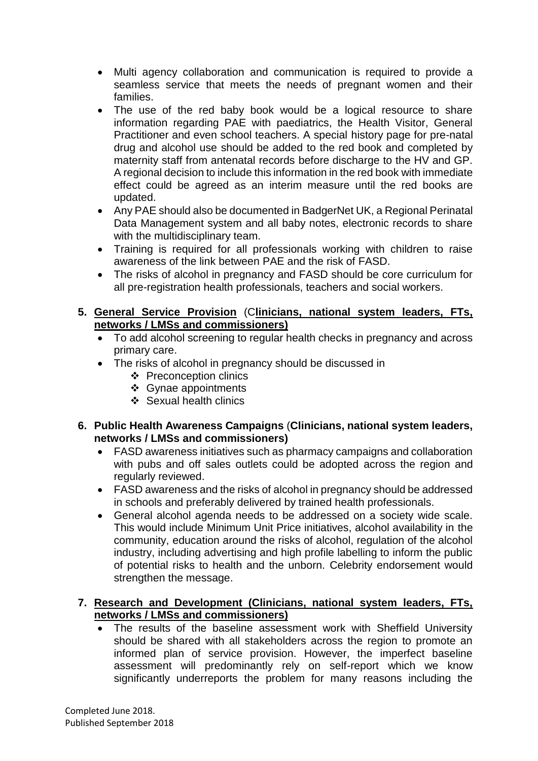- Multi agency collaboration and communication is required to provide a seamless service that meets the needs of pregnant women and their families.
- The use of the red baby book would be a logical resource to share information regarding PAE with paediatrics, the Health Visitor, General Practitioner and even school teachers. A special history page for pre-natal drug and alcohol use should be added to the red book and completed by maternity staff from antenatal records before discharge to the HV and GP. A regional decision to include this information in the red book with immediate effect could be agreed as an interim measure until the red books are updated.
- Any PAE should also be documented in BadgerNet UK, a Regional Perinatal Data Management system and all baby notes, electronic records to share with the multidisciplinary team.
- Training is required for all professionals working with children to raise awareness of the link between PAE and the risk of FASD.
- The risks of alcohol in pregnancy and FASD should be core curriculum for all pre-registration health professionals, teachers and social workers.

#### **5. General Service Provision** (C**linicians, national system leaders, FTs, networks / LMSs and commissioners)**

- To add alcohol screening to regular health checks in pregnancy and across primary care.
- The risks of alcohol in pregnancy should be discussed in
	- ❖ Preconception clinics
	- ❖ Gynae appointments
	- ❖ Sexual health clinics
- **6. Public Health Awareness Campaigns** (**Clinicians, national system leaders, networks / LMSs and commissioners)**
	- FASD awareness initiatives such as pharmacy campaigns and collaboration with pubs and off sales outlets could be adopted across the region and regularly reviewed.
	- FASD awareness and the risks of alcohol in pregnancy should be addressed in schools and preferably delivered by trained health professionals.
	- General alcohol agenda needs to be addressed on a society wide scale. This would include Minimum Unit Price initiatives, alcohol availability in the community, education around the risks of alcohol, regulation of the alcohol industry, including advertising and high profile labelling to inform the public of potential risks to health and the unborn. Celebrity endorsement would strengthen the message.

#### **7. Research and Development (Clinicians, national system leaders, FTs, networks / LMSs and commissioners)**

 The results of the baseline assessment work with Sheffield University should be shared with all stakeholders across the region to promote an informed plan of service provision. However, the imperfect baseline assessment will predominantly rely on self-report which we know significantly underreports the problem for many reasons including the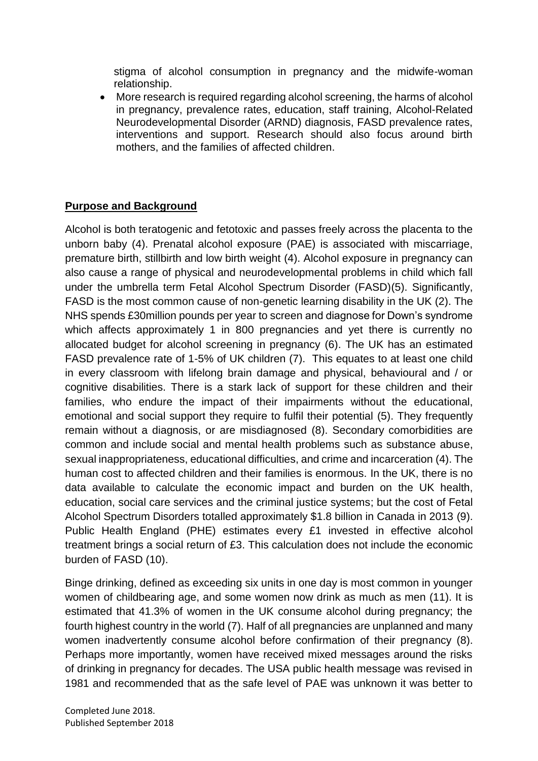stigma of alcohol consumption in pregnancy and the midwife-woman relationship.

 More research is required regarding alcohol screening, the harms of alcohol in pregnancy, prevalence rates, education, staff training, Alcohol-Related Neurodevelopmental Disorder (ARND) diagnosis, FASD prevalence rates, interventions and support. Research should also focus around birth mothers, and the families of affected children.

#### **Purpose and Background**

Alcohol is both teratogenic and fetotoxic and passes freely across the placenta to the unborn baby (4). Prenatal alcohol exposure (PAE) is associated with miscarriage, premature birth, stillbirth and low birth weight (4). Alcohol exposure in pregnancy can also cause a range of physical and neurodevelopmental problems in child which fall under the umbrella term Fetal Alcohol Spectrum Disorder (FASD)(5). Significantly, FASD is the most common cause of non-genetic learning disability in the UK (2). The NHS spends £30million pounds per year to screen and diagnose for Down's syndrome which affects approximately 1 in 800 pregnancies and yet there is currently no allocated budget for alcohol screening in pregnancy (6). The UK has an estimated FASD prevalence rate of 1-5% of UK children (7). This equates to at least one child in every classroom with lifelong brain damage and physical, behavioural and / or cognitive disabilities. There is a stark lack of support for these children and their families, who endure the impact of their impairments without the educational, emotional and social support they require to fulfil their potential (5). They frequently remain without a diagnosis, or are misdiagnosed (8). Secondary comorbidities are common and include social and mental health problems such as substance abuse, sexual inappropriateness, educational difficulties, and crime and incarceration (4). The human cost to affected children and their families is enormous. In the UK, there is no data available to calculate the economic impact and burden on the UK health, education, social care services and the criminal justice systems; but the cost of Fetal Alcohol Spectrum Disorders totalled approximately \$1.8 billion in Canada in 2013 (9). Public Health England (PHE) estimates every £1 invested in effective alcohol treatment brings a social return of £3. This calculation does not include the economic burden of FASD (10).

Binge drinking, defined as exceeding six units in one day is most common in younger women of childbearing age, and some women now drink as much as men (11). It is estimated that 41.3% of women in the UK consume alcohol during pregnancy; the fourth highest country in the world (7). Half of all pregnancies are unplanned and many women inadvertently consume alcohol before confirmation of their pregnancy (8). Perhaps more importantly, women have received mixed messages around the risks of drinking in pregnancy for decades. The USA public health message was revised in 1981 and recommended that as the safe level of PAE was unknown it was better to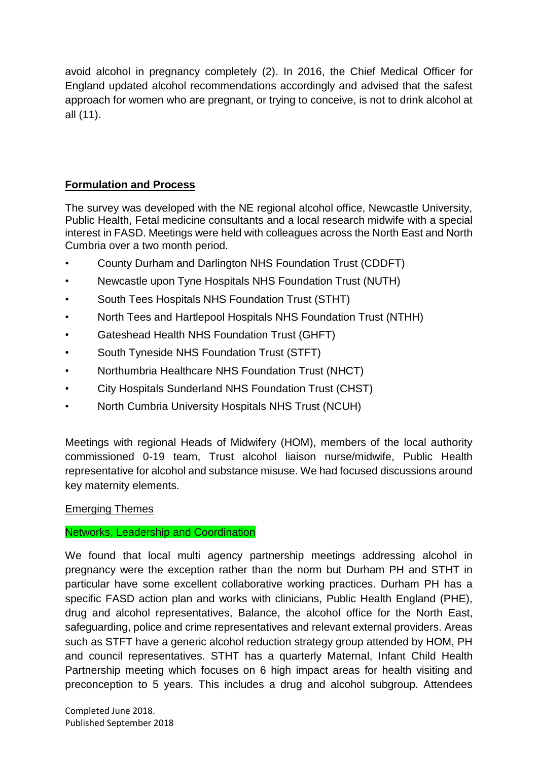avoid alcohol in pregnancy completely (2). In 2016, the Chief Medical Officer for England updated alcohol recommendations accordingly and advised that the safest approach for women who are pregnant, or trying to conceive, is not to drink alcohol at all (11).

# **Formulation and Process**

The survey was developed with the NE regional alcohol office, Newcastle University, Public Health, Fetal medicine consultants and a local research midwife with a special interest in FASD. Meetings were held with colleagues across the North East and North Cumbria over a two month period.

- County Durham and Darlington NHS Foundation Trust (CDDFT)
- Newcastle upon Tyne Hospitals NHS Foundation Trust (NUTH)
- South Tees Hospitals NHS Foundation Trust (STHT)
- North Tees and Hartlepool Hospitals NHS Foundation Trust (NTHH)
- Gateshead Health NHS Foundation Trust (GHFT)
- South Tyneside NHS Foundation Trust (STFT)
- Northumbria Healthcare NHS Foundation Trust (NHCT)
- City Hospitals Sunderland NHS Foundation Trust (CHST)
- North Cumbria University Hospitals NHS Trust (NCUH)

Meetings with regional Heads of Midwifery (HOM), members of the local authority commissioned 0-19 team, Trust alcohol liaison nurse/midwife, Public Health representative for alcohol and substance misuse. We had focused discussions around key maternity elements.

#### Emerging Themes

#### Networks, Leadership and Coordination

We found that local multi agency partnership meetings addressing alcohol in pregnancy were the exception rather than the norm but Durham PH and STHT in particular have some excellent collaborative working practices. Durham PH has a specific FASD action plan and works with clinicians, Public Health England (PHE), drug and alcohol representatives, Balance, the alcohol office for the North East, safeguarding, police and crime representatives and relevant external providers. Areas such as STFT have a generic alcohol reduction strategy group attended by HOM, PH and council representatives. STHT has a quarterly Maternal, Infant Child Health Partnership meeting which focuses on 6 high impact areas for health visiting and preconception to 5 years. This includes a drug and alcohol subgroup. Attendees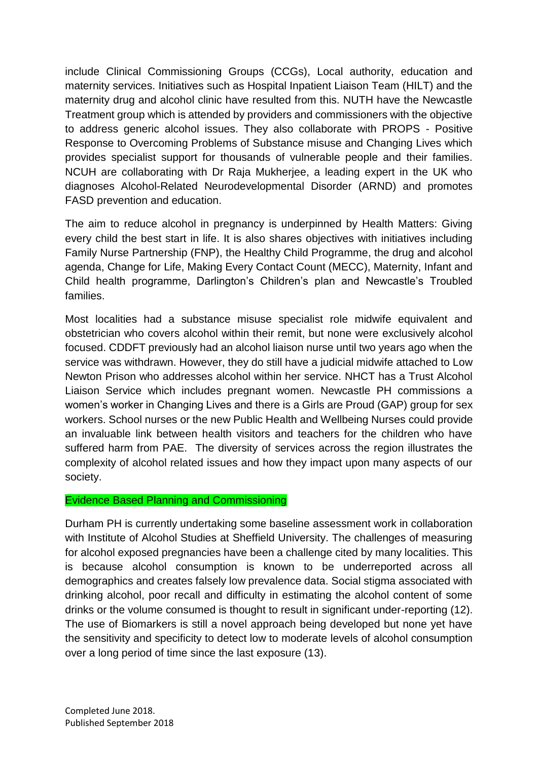include Clinical Commissioning Groups (CCGs), Local authority, education and maternity services. Initiatives such as Hospital Inpatient Liaison Team (HILT) and the maternity drug and alcohol clinic have resulted from this. NUTH have the Newcastle Treatment group which is attended by providers and commissioners with the objective to address generic alcohol issues. They also collaborate with PROPS - Positive Response to Overcoming Problems of Substance misuse and Changing Lives which provides specialist support for thousands of vulnerable people and their families. NCUH are collaborating with Dr Raja Mukherjee, a leading expert in the UK who diagnoses Alcohol-Related Neurodevelopmental Disorder (ARND) and promotes FASD prevention and education.

The aim to reduce alcohol in pregnancy is underpinned by Health Matters: Giving every child the best start in life. It is also shares objectives with initiatives including Family Nurse Partnership (FNP), the Healthy Child Programme, the drug and alcohol agenda, Change for Life, Making Every Contact Count (MECC), Maternity, Infant and Child health programme, Darlington's Children's plan and Newcastle's Troubled families.

Most localities had a substance misuse specialist role midwife equivalent and obstetrician who covers alcohol within their remit, but none were exclusively alcohol focused. CDDFT previously had an alcohol liaison nurse until two years ago when the service was withdrawn. However, they do still have a judicial midwife attached to Low Newton Prison who addresses alcohol within her service. NHCT has a Trust Alcohol Liaison Service which includes pregnant women. Newcastle PH commissions a women's worker in Changing Lives and there is a Girls are Proud (GAP) group for sex workers. School nurses or the new Public Health and Wellbeing Nurses could provide an invaluable link between health visitors and teachers for the children who have suffered harm from PAE. The diversity of services across the region illustrates the complexity of alcohol related issues and how they impact upon many aspects of our society.

#### Evidence Based Planning and Commissioning

Durham PH is currently undertaking some baseline assessment work in collaboration with Institute of Alcohol Studies at Sheffield University. The challenges of measuring for alcohol exposed pregnancies have been a challenge cited by many localities. This is because alcohol consumption is known to be underreported across all demographics and creates falsely low prevalence data. Social stigma associated with drinking alcohol, poor recall and difficulty in estimating the alcohol content of some drinks or the volume consumed is thought to result in significant under-reporting (12). The use of Biomarkers is still a novel approach being developed but none yet have the sensitivity and specificity to detect low to moderate levels of alcohol consumption over a long period of time since the last exposure (13).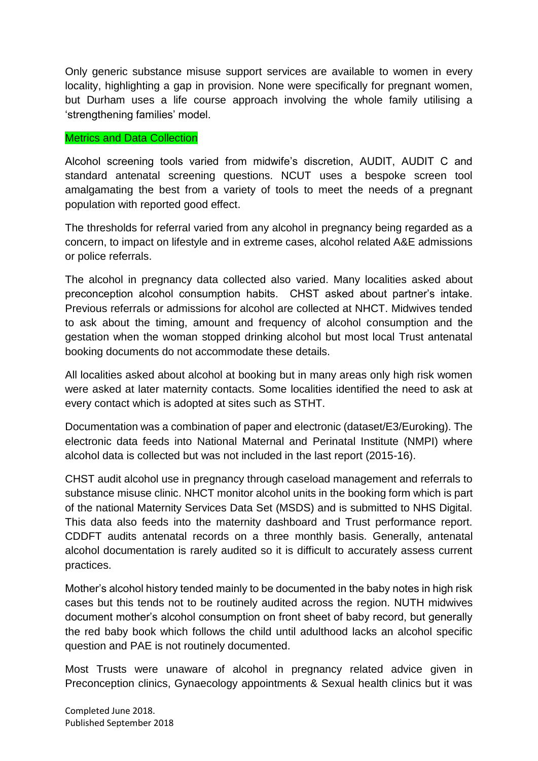Only generic substance misuse support services are available to women in every locality, highlighting a gap in provision. None were specifically for pregnant women, but Durham uses a life course approach involving the whole family utilising a 'strengthening families' model.

#### Metrics and Data Collection

Alcohol screening tools varied from midwife's discretion, AUDIT, AUDIT C and standard antenatal screening questions. NCUT uses a bespoke screen tool amalgamating the best from a variety of tools to meet the needs of a pregnant population with reported good effect.

The thresholds for referral varied from any alcohol in pregnancy being regarded as a concern, to impact on lifestyle and in extreme cases, alcohol related A&E admissions or police referrals.

The alcohol in pregnancy data collected also varied. Many localities asked about preconception alcohol consumption habits. CHST asked about partner's intake. Previous referrals or admissions for alcohol are collected at NHCT. Midwives tended to ask about the timing, amount and frequency of alcohol consumption and the gestation when the woman stopped drinking alcohol but most local Trust antenatal booking documents do not accommodate these details.

All localities asked about alcohol at booking but in many areas only high risk women were asked at later maternity contacts. Some localities identified the need to ask at every contact which is adopted at sites such as STHT.

Documentation was a combination of paper and electronic (dataset/E3/Euroking). The electronic data feeds into National Maternal and Perinatal Institute (NMPI) where alcohol data is collected but was not included in the last report (2015-16).

CHST audit alcohol use in pregnancy through caseload management and referrals to substance misuse clinic. NHCT monitor alcohol units in the booking form which is part of the national Maternity Services Data Set (MSDS) and is submitted to NHS Digital. This data also feeds into the maternity dashboard and Trust performance report. CDDFT audits antenatal records on a three monthly basis. Generally, antenatal alcohol documentation is rarely audited so it is difficult to accurately assess current practices.

Mother's alcohol history tended mainly to be documented in the baby notes in high risk cases but this tends not to be routinely audited across the region. NUTH midwives document mother's alcohol consumption on front sheet of baby record, but generally the red baby book which follows the child until adulthood lacks an alcohol specific question and PAE is not routinely documented.

Most Trusts were unaware of alcohol in pregnancy related advice given in Preconception clinics, Gynaecology appointments & Sexual health clinics but it was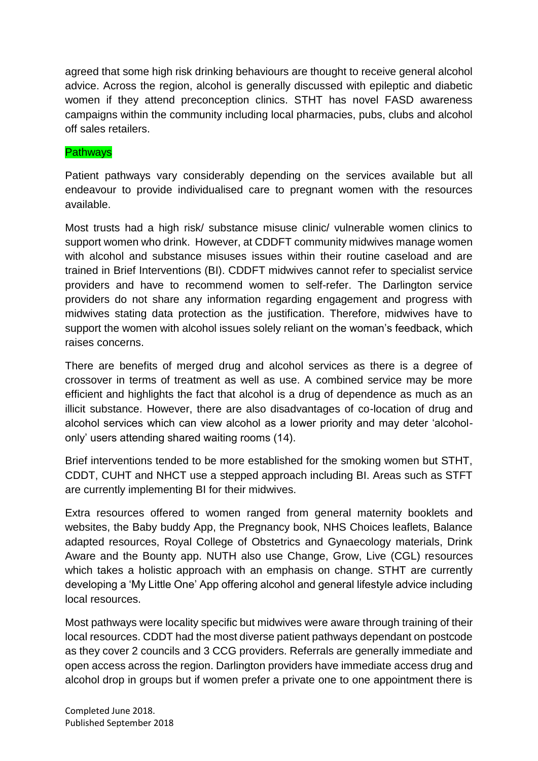agreed that some high risk drinking behaviours are thought to receive general alcohol advice. Across the region, alcohol is generally discussed with epileptic and diabetic women if they attend preconception clinics. STHT has novel FASD awareness campaigns within the community including local pharmacies, pubs, clubs and alcohol off sales retailers.

#### **Pathways**

Patient pathways vary considerably depending on the services available but all endeavour to provide individualised care to pregnant women with the resources available.

Most trusts had a high risk/ substance misuse clinic/ vulnerable women clinics to support women who drink. However, at CDDFT community midwives manage women with alcohol and substance misuses issues within their routine caseload and are trained in Brief Interventions (BI). CDDFT midwives cannot refer to specialist service providers and have to recommend women to self-refer. The Darlington service providers do not share any information regarding engagement and progress with midwives stating data protection as the justification. Therefore, midwives have to support the women with alcohol issues solely reliant on the woman's feedback, which raises concerns.

There are benefits of merged drug and alcohol services as there is a degree of crossover in terms of treatment as well as use. A combined service may be more efficient and highlights the fact that alcohol is a drug of dependence as much as an illicit substance. However, there are also disadvantages of co-location of drug and alcohol services which can view alcohol as a lower priority and may deter 'alcoholonly' users attending shared waiting rooms (14).

Brief interventions tended to be more established for the smoking women but STHT, CDDT, CUHT and NHCT use a stepped approach including BI. Areas such as STFT are currently implementing BI for their midwives.

Extra resources offered to women ranged from general maternity booklets and websites, the Baby buddy App, the Pregnancy book, NHS Choices leaflets, Balance adapted resources, Royal College of Obstetrics and Gynaecology materials, Drink Aware and the Bounty app. NUTH also use Change, Grow, Live (CGL) resources which takes a holistic approach with an emphasis on change. STHT are currently developing a 'My Little One' App offering alcohol and general lifestyle advice including local resources.

Most pathways were locality specific but midwives were aware through training of their local resources. CDDT had the most diverse patient pathways dependant on postcode as they cover 2 councils and 3 CCG providers. Referrals are generally immediate and open access across the region. Darlington providers have immediate access drug and alcohol drop in groups but if women prefer a private one to one appointment there is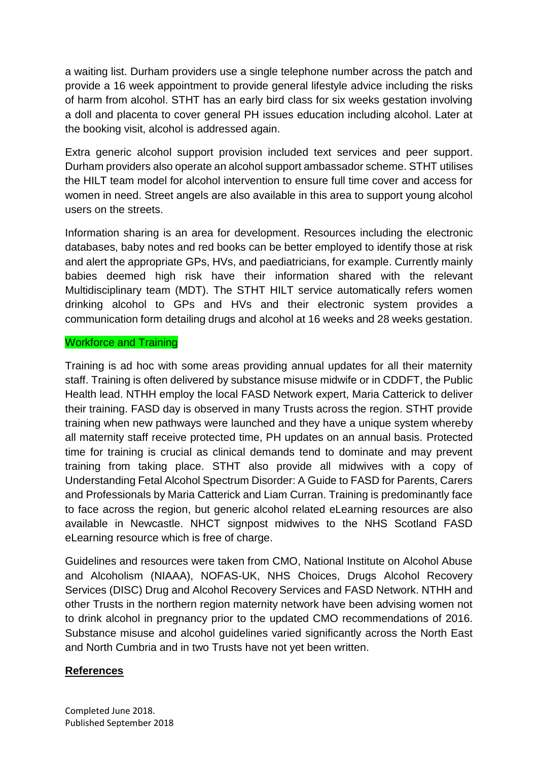a waiting list. Durham providers use a single telephone number across the patch and provide a 16 week appointment to provide general lifestyle advice including the risks of harm from alcohol. STHT has an early bird class for six weeks gestation involving a doll and placenta to cover general PH issues education including alcohol. Later at the booking visit, alcohol is addressed again.

Extra generic alcohol support provision included text services and peer support. Durham providers also operate an alcohol support ambassador scheme. STHT utilises the HILT team model for alcohol intervention to ensure full time cover and access for women in need. Street angels are also available in this area to support young alcohol users on the streets.

Information sharing is an area for development. Resources including the electronic databases, baby notes and red books can be better employed to identify those at risk and alert the appropriate GPs, HVs, and paediatricians, for example. Currently mainly babies deemed high risk have their information shared with the relevant Multidisciplinary team (MDT). The STHT HILT service automatically refers women drinking alcohol to GPs and HVs and their electronic system provides a communication form detailing drugs and alcohol at 16 weeks and 28 weeks gestation.

#### Workforce and Training

Training is ad hoc with some areas providing annual updates for all their maternity staff. Training is often delivered by substance misuse midwife or in CDDFT, the Public Health lead. NTHH employ the local FASD Network expert, Maria Catterick to deliver their training. FASD day is observed in many Trusts across the region. STHT provide training when new pathways were launched and they have a unique system whereby all maternity staff receive protected time, PH updates on an annual basis. Protected time for training is crucial as clinical demands tend to dominate and may prevent training from taking place. STHT also provide all midwives with a copy of Understanding Fetal Alcohol Spectrum Disorder: A Guide to FASD for Parents, Carers and Professionals by Maria Catterick and Liam Curran. Training is predominantly face to face across the region, but generic alcohol related eLearning resources are also available in Newcastle. NHCT signpost midwives to the NHS Scotland FASD eLearning resource which is free of charge.

Guidelines and resources were taken from CMO, National Institute on Alcohol Abuse and Alcoholism (NIAAA), NOFAS-UK, NHS Choices, Drugs Alcohol Recovery Services (DISC) Drug and Alcohol Recovery Services and FASD Network. NTHH and other Trusts in the northern region maternity network have been advising women not to drink alcohol in pregnancy prior to the updated CMO recommendations of 2016. Substance misuse and alcohol guidelines varied significantly across the North East and North Cumbria and in two Trusts have not yet been written.

## **References**